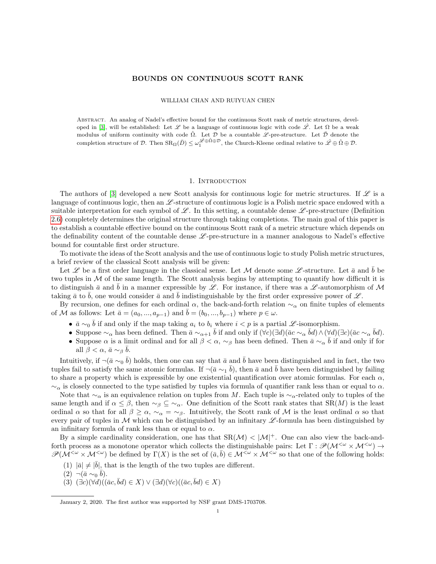# BOUNDS ON CONTINUOUS SCOTT RANK

#### WILLIAM CHAN AND RUIYUAN CHEN

Abstract. An analog of Nadel's effective bound for the continuous Scott rank of metric structures, devel-oped in [\[3\]](#page-10-0), will be established: Let  $\mathscr L$  be a language of continuous logic with code  $\hat{\mathscr L}$ . Let  $\Omega$  be a weak modulus of uniform continuity with code  $\hat{\Omega}$ . Let  $\mathcal D$  be a countable  $\mathcal L$ -pre-structure. Let  $\bar{\mathcal D}$  denote the completion structure of  $\mathcal{D}$ . Then  $\text{SR}_{\Omega}(\bar{D}) \leq \omega_1^{\mathscr{L} \oplus \hat{\Omega} \oplus \mathcal{D}}$ , the Church-Kleene ordinal relative to  $\hat{\mathscr{L}} \oplus \hat{\Omega} \oplus \mathcal{D}$ .

# 1. INTRODUCTION

The authors of [\[3\]](#page-10-0) developed a new Scott analysis for continuous logic for metric structures. If  $\mathscr L$  is a language of continuous logic, then an  $\mathscr{L}$ -structure of continuous logic is a Polish metric space endowed with a suitable interpretation for each symbol of  $\mathscr L$ . In this setting, a countable dense  $\mathscr L$ -pre-structure (Definition [2.6\)](#page-3-0) completely determines the original structure through taking completions. The main goal of this paper is to establish a countable effective bound on the continuous Scott rank of a metric structure which depends on the definability content of the countable dense  $\mathscr{L}$ -pre-structure in a manner analogous to Nadel's effective bound for countable first order structure.

To motivate the ideas of the Scott analysis and the use of continuous logic to study Polish metric structures, a brief review of the classical Scott analysis will be given:

Let Let a first order language in the classical sense. Let M denote some L-structure. Let  $\bar{a}$  and b be two tuples in  $M$  of the same length. The Scott analysis begins by attempting to quantify how difficult it is to distinguish  $\bar{a}$  and b in a manner expressible by L. For instance, if there was a L-automorphism of M taking  $\bar{a}$  to  $\bar{b}$ , one would consider  $\bar{a}$  and  $\bar{b}$  indistinguishable by the first order expressive power of  $\mathscr{L}$ .

By recursion, one defines for each ordinal  $\alpha$ , the back-and-forth relation  $\sim_\alpha$  on finite tuples of elements of M as follows: Let  $\bar{a} = (a_0, ..., a_{p-1})$  and  $\bar{b} = (b_0, ..., b_{p-1})$  where  $p \in \omega$ .

- $\bar{a} \sim_0 \bar{b}$  if and only if the map taking  $a_i$  to  $b_i$  where  $i < p$  is a partial  $\mathscr{L}$ -isomorphism.
- Suppose  $\sim_\alpha$  has been defined. Then  $\bar{a} \sim_{\alpha+1} \bar{b}$  if and only if  $(\forall c)(\exists d)(\bar{a}c \sim_\alpha \bar{b}d) \wedge (\forall d)(\exists c)(\bar{a}c \sim_\alpha \bar{b}d)$ .
- Suppose  $\alpha$  is a limit ordinal and for all  $\beta < \alpha$ ,  $\sim_{\beta}$  has been defined. Then  $\bar{a} \sim_{\alpha} \bar{b}$  if and only if for all  $\beta < \alpha$ ,  $\bar{a} \sim_{\beta} \bar{b}$ .

Intuitively, if  $\neg(\bar{a} \sim_0 \bar{b})$  holds, then one can say that  $\bar{a}$  and  $\bar{b}$  have been distinguished and in fact, the two tuples fail to satisfy the same atomic formulas. If  $\neg$ ( $\bar{a} \sim_1 \bar{b}$ ), then  $\bar{a}$  and  $\bar{b}$  have been distinguished by failing to share a property which is expressible by one existential quantification over atomic formulas. For each  $\alpha$ ,  $\sim_{\alpha}$  is closely connected to the type satisfied by tuples via formula of quantifier rank less than or equal to  $\alpha$ .

Note that  $\sim_\alpha$  is an equivalence relation on tuples from M. Each tuple is  $\sim_\alpha$ -related only to tuples of the same length and if  $\alpha \leq \beta$ , then  $\sim_{\beta} \zeta \sim_{\alpha}$ . One definition of the Scott rank states that SR(M) is the least ordinal  $\alpha$  so that for all  $\beta \geq \alpha$ ,  $\sim_{\alpha} = \sim_{\beta}$ . Intuitively, the Scott rank of M is the least ordinal  $\alpha$  so that every pair of tuples in  $M$  which can be distinguished by an infinitary  $\mathscr L$ -formula has been distinguished by an infinitary formula of rank less than or equal to  $\alpha$ .

By a simple cardinality consideration, one has that  $SR(\mathcal{M}) < |\mathcal{M}|^+$ . One can also view the back-andforth process as a monotone operator which collects the distinguishable pairs: Let  $\Gamma : \mathscr{P}(\mathcal{M}^{<\omega}) \to$  $\mathscr{P}(\mathcal{M}^{\leq \omega} \times \mathcal{M}^{\leq \omega})$  be defined by  $\Gamma(X)$  is the set of  $(\bar{a}, \bar{b}) \in \mathcal{M}^{\leq \omega} \times \mathcal{M}^{\leq \omega}$  so that one of the following holds:

- (1)  $|\bar{a}| \neq |\bar{b}|$ , that is the length of the two tuples are different.
- $(2) \neg (\bar{a} \sim_0 \bar{b}).$
- $(3)$   $(\exists c)(\forall d)((\bar{a}c, \bar{b}d) \in X) \vee (\exists d)(\forall c)((\bar{a}c, \bar{b}d) \in X)$

January 2, 2020. The first author was supported by NSF grant DMS-1703708.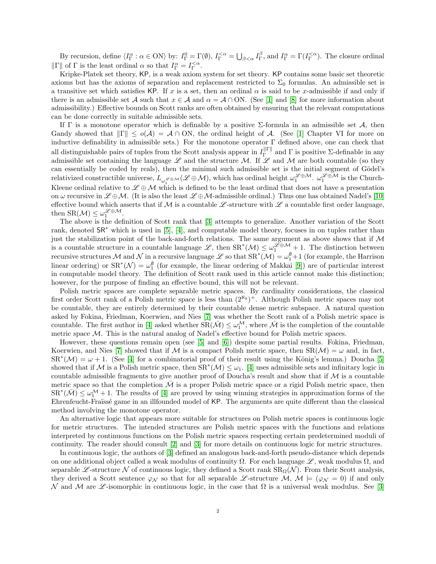By recursion, define  $\langle I_{\Gamma}^{\alpha} : \alpha \in \mathcal{O}N \rangle$  by:  $I_{\Gamma}^{0} = \Gamma(\emptyset)$ ,  $I_{\Gamma}^{<\alpha} = \bigcup_{\beta<\alpha} I_{\Gamma}^{\beta}$ , and  $I_{\Gamma}^{\alpha} = \Gamma(I_{\Gamma}^{<\alpha})$ . The closure ordinal  $\|\Gamma\|$  of  $\Gamma$  is the least ordinal  $\alpha$  so that  $I_{\Gamma}^{\alpha} = I_{\Gamma}^{<\alpha}$ .

Kripke-Platek set theory, KP, is a weak axiom system for set theory. KP contains some basic set theoretic axioms but has the axioms of separation and replacement restricted to  $\Sigma_0$  formulas. An admissible set is a transitive set which satisfies KP. If x is a set, then an ordinal  $\alpha$  is said to be x-admissible if and only if there is an admissible set A such that  $x \in A$  and  $\alpha = A \cap ON$ . (See [\[1\]](#page-10-1) and [\[8\]](#page-10-2) for more information about admissibility.) Effective bounds on Scott ranks are often obtained by ensuring that the relevant computations can be done correctly in suitable admissible sets.

If  $\Gamma$  is a monotone operator which is definable by a positive  $\Sigma$ -formula in an admissible set  $\mathcal{A}$ , then Gandy showed that  $\|\Gamma\| \le o(\mathcal{A}) = \mathcal{A} \cap ON$ , the ordinal height of  $\mathcal{A}$ . (See [\[1\]](#page-10-1) Chapter VI for more on inductive definability in admissible sets.) For the monotone operator Γ defined above, one can check that all distinguishable pairs of tuples from the Scott analysis appear in  $I_{\Gamma}^{\|\Gamma\|}$ <sup> $\Gamma$ </sup> and Γ is positive Σ-definable in any admissible set containing the language  $\mathscr L$  and the structure M. If  $\mathscr L$  and M are both countable (so they can essentially be coded by reals), then the minimal such admissible set is the initial segment of Gödel's relativized constructible universe,  $L_{\omega_1^{\mathscr{L}\oplus\mathcal{M}}}(\mathscr{L}\oplus\mathcal{M})$ , which has ordinal height  $\omega_1^{\mathscr{L}\oplus\mathcal{M}}$ .  $\omega_1^{\mathscr{L}\oplus\mathcal{M}}$  is the Church-Kleene ordinal relative to  $\mathscr{L} \oplus \mathcal{M}$  which is defined to be the least ordinal that does not have a presentation on  $\omega$  recursive in  $\mathscr{L}\oplus\mathcal{M}$ . (It is also the least  $\mathscr{L}\oplus\mathcal{M}$ -admissible ordinal.) Thus one has obtained Nadel's [\[10\]](#page-10-3) effective bound which asserts that if M is a countable L-structure with L a countable first order language, then  $\text{SR}(\mathcal{M}) \leq \omega_1^{\mathscr{L} \oplus \mathcal{M}}$ .

The above is the definition of Scott rank that [\[3\]](#page-10-0) attempts to generalize. Another variation of the Scott rank, denoted SR<sup>∗</sup> which is used in [\[5\]](#page-10-4), [\[4\]](#page-10-5), and computable model theory, focuses in on tuples rather than just the stabilization point of the back-and-forth relations. The same argument as above shows that if  $\mathcal M$ is a countable structure in a countable language  $\mathscr{L}$ , then  $SR^*(\mathcal{M}) \leq \omega_1^{\mathscr{L} \oplus \mathcal{M}} + 1$ . The distinction between recursive structures M and N in a recursive language L so that  $\text{SR}^*(\mathcal{M}) = \omega_1^{\emptyset} + 1$  (for example, the Harrison linear ordering) or  $SR^*(\mathcal{N}) = \omega_1^{\emptyset}$  (for example, the linear ordering of Makkai [\[9\]](#page-10-6)) are of particular interest in computable model theory. The definition of Scott rank used in this article cannot make this distinction; however, for the purpose of finding an effective bound, this will not be relevant.

Polish metric spaces are complete separable metric spaces. By cardinality considerations, the classical first order Scott rank of a Polish metric space is less than  $(2^{\aleph_0})^+$ . Although Polish metric spaces may not be countable, they are entirely determined by their countable dense metric subspace. A natural question asked by Fokina, Friedman, Koerwien, and Nies [\[7\]](#page-10-7) was whether the Scott rank of a Polish metric space is countable. The first author in [\[4\]](#page-10-5) asked whether  $\overline{SR}(\overline{\mathcal{M}}) \leq \omega_1^{\mathcal{M}}$ , where  $\overline{\mathcal{M}}$  is the completion of the countable metric space  $M$ . This is the natural analog of Nadel's effective bound for Polish metric spaces.

However, these questions remain open (see [\[5\]](#page-10-4) and [\[6\]](#page-10-8)) despite some partial results. Fokina, Friedman, Koerwien, and Nies [\[7\]](#page-10-7) showed that if M is a compact Polish metric space, then  $\text{SR}(\mathcal{M}) = \omega$  and, in fact,  $\text{SR}^*(\mathcal{M}) = \omega + 1$ . (See [\[4\]](#page-10-5) for a combinatorial proof of their result using the König's lemma.) Doucha [\[5\]](#page-10-4) showed that if M is a Polish metric space, then  $\overline{SR}^*(\mathcal{M}) \leq \omega_1$ . [\[4\]](#page-10-5) uses admissible sets and infinitary logic in countable admissible fragments to give another proof of Doucha's result and show that if  $M$  is a countable metric space so that the completion  $\mathcal M$  is a proper Polish metric space or a rigid Polish metric space, then  $\text{SR}^*(\bar{\mathcal{M}}) \leq \omega_1^{\mathcal{M}} + 1$ . The results of [\[4\]](#page-10-5) are proved by using winning strategies in approximation forms of the Ehrenfeucht-Fraïssé game in an illfounded model of KP. The arguments are quite different than the classical method involving the monotone operator.

An alternative logic that appears more suitable for structures on Polish metric spaces is continuous logic for metric structures. The intended structures are Polish metric spaces with the functions and relations interpreted by continuous functions on the Polish metric spaces respecting certain predetermined moduli of continuity. The reader should consult [\[2\]](#page-10-9) and [\[3\]](#page-10-0) for more details on continuous logic for metric structures.

In continuous logic, the authors of [\[3\]](#page-10-0) defined an analogous back-and-forth pseudo-distance which depends on one additional object called a weak modulus of continuity  $\Omega$ . For each language  $\mathscr{L}$ , weak modulus  $\Omega$ , and separable L -structure N of continuous logic, they defined a Scott rank  $SR<sub>\Omega</sub>(N)$ . From their Scott analysis, they derived a Scott sentence  $\varphi_N$  so that for all separable L -structure M,  $\mathcal{M} \models (\varphi_N = 0)$  if and only N and M are L -isomorphic in continuous logic, in the case that  $\Omega$  is a universal weak modulus. See [\[3\]](#page-10-0)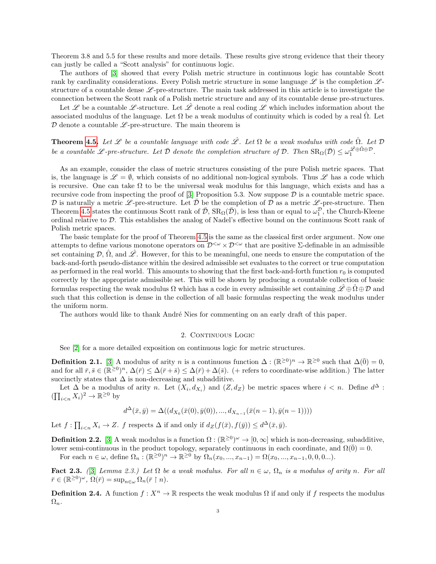Theorem 3.8 and 5.5 for these results and more details. These results give strong evidence that their theory can justly be called a "Scott analysis" for continuous logic.

The authors of [\[3\]](#page-10-0) showed that every Polish metric structure in continuous logic has countable Scott rank by cardinality considerations. Every Polish metric structure in some language  $\mathscr L$  is the completion  $\mathscr L$ structure of a countable dense  $\mathscr{L}$ -pre-structure. The main task addressed in this article is to investigate the connection between the Scott rank of a Polish metric structure and any of its countable dense pre-structures.

Let L<sup>obe</sup> be a countable L-structure. Let L<sup>obe</sup> denote a real coding L which includes information about the associated modulus of the language. Let  $\Omega$  be a weak modulus of continuity which is coded by a real  $\hat{\Omega}$ . Let  $D$  denote a countable  $\mathscr{L}\text{-pre-structure}$ . The main theorem is

**Theorem [4.5.](#page-10-10)** Let  $\mathscr L$  be a countable language with code  $\hat{\mathscr L}$ . Let  $\Omega$  be a weak modulus with code  $\hat{\Omega}$ . Let  $\mathcal D$ be a countable L-pre-structure. Let  $\bar{\mathcal{D}}$  denote the completion structure of  $\mathcal{D}$ . Then  $\text{SR}_{\Omega}(\bar{\mathcal{D}}) \leq \omega_1^{\hat{\mathcal{L}} \oplus \hat{\Omega} \oplus \mathcal{D}}$ .

As an example, consider the class of metric structures consisting of the pure Polish metric spaces. That is, the language is  $\mathscr{L} = \emptyset$ , which consists of no additional non-logical symbols. Thus  $\mathscr{L}$  has a code which is recursive. One can take  $\Omega$  to be the universal weak modulus for this language, which exists and has a recursive code from inspecting the proof of  $[3]$  Proposition 5.3. Now suppose  $\mathcal D$  is a countable metric space. D is naturally a metric L-pre-structure. Let  $\overline{\mathcal{D}}$  be the completion of D as a metric L-pre-structure. Then Theorem [4.5](#page-10-10) states the continuous Scott rank of  $\bar{\mathcal{D}}$ ,  $SR_{\Omega}(\bar{\mathcal{D}})$ , is less than or equal to  $\omega_1^{\mathcal{D}}$ , the Church-Kleene ordinal relative to D. This establishes the analog of Nadel's effective bound on the continuous Scott rank of Polish metric spaces.

The basic template for the proof of Theorem [4.5](#page-10-10) is the same as the classical first order argument. Now one attempts to define various monotone operators on  $\mathcal{D}^{<\omega} \times \mathcal{D}^{<\omega}$  that are positive  $\Sigma$ -definable in an admissible set containing  $\mathcal{D}, \hat{\Omega}$ , and  $\hat{\mathcal{L}}$ . However, for this to be meaningful, one needs to ensure the computation of the back-and-forth pseudo-distance within the desired admissible set evaluates to the correct or true computation as performed in the real world. This amounts to showing that the first back-and-forth function  $r_0$  is computed correctly by the appropriate admissible set. This will be shown by producing a countable collection of basic formulas respecting the weak modulus  $\Omega$  which has a code in every admissible set containing  $\hat{\mathscr{L}} \oplus \hat{\Omega} \oplus \mathcal{D}$  and such that this collection is dense in the collection of all basic formulas respecting the weak modulus under the uniform norm.

The authors would like to thank André Nies for commenting on an early draft of this paper.

### 2. CONTINUOUS LOGIC

See [\[2\]](#page-10-9) for a more detailed exposition on continuous logic for metric structures.

<span id="page-2-0"></span>**Definition 2.1.** [\[3\]](#page-10-0) A modulus of arity n is a continuous function  $\Delta : (\mathbb{R}^{\geq 0})^n \to \mathbb{R}^{\geq 0}$  such that  $\Delta(\bar{0}) = 0$ , and for all  $\bar{r}, \bar{s} \in (\mathbb{R}^{\geq 0})^n$ ,  $\Delta(\bar{r}) \leq \Delta(\bar{r} + \bar{s}) \leq \Delta(\bar{r}) + \Delta(\bar{s})$ . (+ refers to coordinate-wise addition.) The latter succinctly states that  $\Delta$  is non-decreasing and subadditive.

Let  $\Delta$  be a modulus of arity n. Let  $(X_i, d_{X_i})$  and  $(Z, d_Z)$  be metric spaces where  $i < n$ . Define  $d^{\Delta}$ :  $(\prod_{i\leq n} X_i)^2 \to \mathbb{R}^{\geq 0}$  by

$$
d^{\Delta}(\bar{x}, \bar{y}) = \Delta((d_{X_0}(\bar{x}(0), \bar{y}(0)), ..., d_{X_{n-1}}(\bar{x}(n-1), \bar{y}(n-1))))
$$

Let  $f: \prod_{i \leq n} X_i \to Z$ . f respects  $\Delta$  if and only if  $d_Z(f(\bar{x}), f(\bar{y})) \leq d^{\Delta}(\bar{x}, \bar{y})$ .

**Definition 2.2.** [\[3\]](#page-10-0) A weak modulus is a function  $\Omega : (\mathbb{R}^{\geq 0})^{\omega} \to [0, \infty]$  which is non-decreasing, subadditive, lower semi-continuous in the product topology, separately continuous in each coordinate, and  $\Omega(\bar{0}) = 0$ .

For each  $n \in \omega$ , define  $\Omega_n : (\mathbb{R}^{\geq 0})^n \to \mathbb{R}^{\geq 0}$  by  $\Omega_n(x_0, ..., x_{n-1}) = \Omega(x_0, ..., x_{n-1}, 0, 0, 0...).$ 

Fact 2.3. ([\[3\]](#page-10-0) Lemma 2.3.) Let  $\Omega$  be a weak modulus. For all  $n \in \omega$ ,  $\Omega_n$  is a modulus of arity n. For all  $\bar{r} \in (\mathbb{R}^{\geq 0})^{\omega}$ ,  $\Omega(\bar{r}) = \sup_{n \in \omega} \Omega_n(\bar{r} \restriction n)$ .

**Definition 2.4.** A function  $f: X^n \to \mathbb{R}$  respects the weak modulus  $\Omega$  if and only if f respects the modulus  $\Omega_n$ .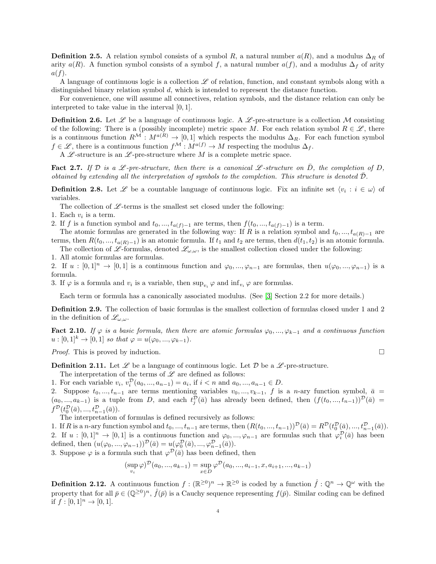**Definition 2.5.** A relation symbol consists of a symbol R, a natural number  $a(R)$ , and a modulus  $\Delta_R$  of arity  $a(R)$ . A function symbol consists of a symbol f, a natural number  $a(f)$ , and a modulus  $\Delta_f$  of arity  $a(f)$ .

A language of continuous logic is a collection  $\mathscr L$  of relation, function, and constant symbols along with a distinguished binary relation symbol d, which is intended to represent the distance function.

For convenience, one will assume all connectives, relation symbols, and the distance relation can only be interpreted to take value in the interval [0, 1].

<span id="page-3-0"></span>**Definition 2.6.** Let  $\mathscr L$  be a language of continuous logic. A  $\mathscr L$ -pre-structure is a collection M consisting of the following: There is a (possibly incomplete) metric space M. For each relation symbol  $R \in \mathscr{L}$ , there is a continuous function  $R^{\mathcal{M}}: M^{a(R)} \to [0,1]$  which respects the modulus  $\Delta_R$ . For each function symbol  $f \in \mathscr{L}$ , there is a continuous function  $f^{\mathcal{M}} : M^{a(f)} \to M$  respecting the modulus  $\Delta_f$ .

A  $\mathscr L$ -structure is an  $\mathscr L$ -pre-structure where M is a complete metric space.

**Fact 2.7.** If D is a L-pre-structure, then there is a canonical L-structure on  $\bar{D}$ , the completion of D, obtained by extending all the interpretation of symbols to the completion. This structure is denoted  $\overline{\mathcal{D}}$ .

<span id="page-3-1"></span>**Definition 2.8.** Let  $\mathscr L$  be a countable language of continuous logic. Fix an infinite set  $\langle v_i : i \in \omega \rangle$  of variables.

The collection of  $\mathscr{L}$ -terms is the smallest set closed under the following:

- 1. Each  $v_i$  is a term.
- 2. If f is a function symbol and  $t_0, ..., t_{a(f)-1}$  are terms, then  $f(t_0, ..., t_{a(f)-1})$  is a term.

The atomic formulas are generated in the following way: If R is a relation symbol and  $t_0, ..., t_{a(R)-1}$  are terms, then  $R(t_0, ..., t_{a(R)-1})$  is an atomic formula. If  $t_1$  and  $t_2$  are terms, then  $d(t_1, t_2)$  is an atomic formula. The collection of  $\mathscr{L}$ -formulas, denoted  $\mathscr{L}_{\omega,\omega}$ , is the smallest collection closed under the following:

1. All atomic formulas are formulas.

2. If  $u : [0,1]^n \to [0,1]$  is a continuous function and  $\varphi_0, ..., \varphi_{n-1}$  are formulas, then  $u(\varphi_0, ..., \varphi_{n-1})$  is a formula.

3. If  $\varphi$  is a formula and  $v_i$  is a variable, then  $\sup_{v_i} \varphi$  and  $\inf_{v_i} \varphi$  are formulas.

Each term or formula has a canonically associated modulus. (See [\[3\]](#page-10-0) Section 2.2 for more details.)

Definition 2.9. The collection of basic formulas is the smallest collection of formulas closed under 1 and 2 in the definition of  $\mathscr{L}_{\omega,\omega}$ .

<span id="page-3-2"></span>Fact 2.10. If  $\varphi$  is a basic formula, then there are atomic formulas  $\varphi_0, ..., \varphi_{k-1}$  and a continuous function  $u:[0,1]^k \rightarrow [0,1]$  so that  $\varphi = u(\varphi_0, ..., \varphi_{k-1}).$ 

*Proof.* This is proved by induction.  $\square$ 

**Definition 2.11.** Let  $\mathscr L$  be a language of continuous logic. Let  $\mathscr D$  be a  $\mathscr L$ -pre-structure.

The interpretation of the terms of  $\mathscr L$  are defined as follows:

1. For each variable  $v_i, v_i^{\mathcal{D}}(a_0, ..., a_{n-1}) = a_i$ , if  $i < n$  and  $a_0, ..., a_{n-1} \in D$ .

2. Suppose  $t_0, ..., t_{n-1}$  are terms mentioning variables  $v_0, ..., v_{k-1}$ , f is a n-ary function symbol,  $\bar{a}$  =  $(a_0, ..., a_{k-1})$  is a tuple from D, and each  $t_j^{\mathcal{D}}(\bar{a})$  has already been defined, then  $(f(t_0, ..., t_{n-1}))^{\mathcal{D}}(\bar{a}) =$  $f^{\mathcal{D}}(t_0^{\mathcal{D}}(\bar{a}),..., t_{n-1}^{\mathcal{D}}(\bar{a})).$ 

The interpretation of formulas is defined recursively as follows:

1. If R is a n-ary function symbol and  $t_0, ..., t_{n-1}$  are terms, then  $(R(t_0, ..., t_{n-1}))^{\mathcal{D}}(\bar{a}) = R^{\mathcal{D}}(t_0^{\mathcal{D}}(\bar{a}), ..., t_{n-1}^{\mathcal{D}}(\bar{a})).$ 2. If  $u : [0,1]^n \to [0,1]$  is a continuous function and  $\varphi_0, ..., \varphi_{n-1}$  are formulas such that  $\varphi_i^{\mathcal{D}}(\bar{a})$  has been defined, then  $(u(\varphi_0, ..., \varphi_{n-1}))^{\mathcal{D}}(\bar{a}) = u(\varphi_0^{\mathcal{D}}(\bar{a}), ..., \varphi_{n-1}^{\mathcal{D}}(\bar{a})).$ 

3. Suppose  $\varphi$  is a formula such that  $\varphi^{\mathcal{D}}(\bar{a})$  has been defined, then

$$
(\sup_{v_i} \varphi)^{\mathcal{D}}(a_0, ..., a_{k-1}) = \sup_{x \in D} \varphi^{\mathcal{D}}(a_0, ..., a_{i-1}, x, a_{i+1}, ..., a_{k-1})
$$

**Definition 2.12.** A continuous function  $f : (\mathbb{R}^{\geq 0})^n \to \mathbb{R}^{\geq 0}$  is coded by a function  $\hat{f} : \mathbb{Q}^n \to \mathbb{Q}^\omega$  with the property that for all  $\bar{p} \in (\mathbb{Q}^{\geq 0})^n$ ,  $\hat{f}(\bar{p})$  is a Cauchy sequence representing  $f(\bar{p})$ . Similar coding can be defined if  $f : [0,1]^n \to [0,1]$ .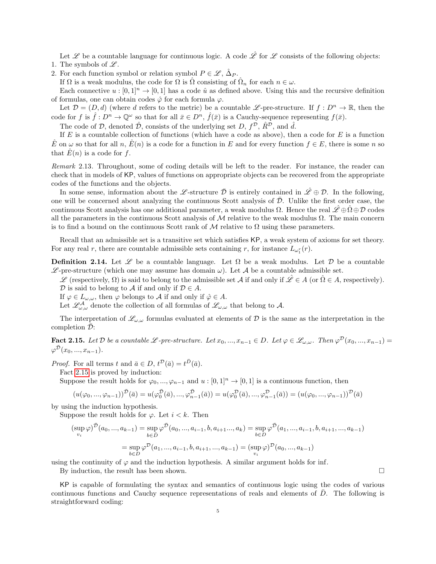Let Let us a countable language for continuous logic. A code  $\hat{\mathscr{L}}$  for  $\mathscr{L}$  consists of the following objects: 1. The symbols of  $\mathscr{L}$ .

2. For each function symbol or relation symbol  $P \in \mathscr{L}$ ,  $\hat{\Delta}_P$ .

If  $\Omega$  is a weak modulus, the code for  $\Omega$  is  $\hat{\Omega}$  consisting of  $\hat{\Omega}_n$  for each  $n \in \omega$ .

Each connective  $u : [0, 1]^n \to [0, 1]$  has a code  $\hat{u}$  as defined above. Using this and the recursive definition of formulas, one can obtain codes  $\hat{\varphi}$  for each formula  $\varphi$ .

Let  $\mathcal{D} = (D, d)$  (where d refers to the metric) be a countable L-pre-structure. If  $f: D^n \to \mathbb{R}$ , then the code for f is  $\hat{f}: D^n \to \mathbb{Q}^\omega$  so that for all  $\bar{x} \in D^n$ ,  $\hat{f}(\bar{x})$  is a Cauchy-sequence representing  $f(\bar{x})$ .

The code of D, denoted  $\hat{\mathcal{D}}$ , consists of the underlying set D,  $f^{\mathcal{D}}$ ,  $\hat{R}^{\mathcal{D}}$ , and  $\hat{d}$ .

If E is a countable collection of functions (which have a code as above), then a code for E is a function E on  $\omega$  so that for all n,  $E(n)$  is a code for a function in E and for every function  $f \in E$ , there is some n so that  $\hat{E}(n)$  is a code for f.

Remark 2.13. Throughout, some of coding details will be left to the reader. For instance, the reader can check that in models of KP, values of functions on appropriate objects can be recovered from the appropriate codes of the functions and the objects.

In some sense, information about the L-structure  $\bar{\mathcal{D}}$  is entirely contained in  $\hat{\mathcal{L}} \oplus \mathcal{D}$ . In the following, one will be concerned about analyzing the continuous Scott analysis of  $\overline{\mathcal{D}}$ . Unlike the first order case, the continuous Scott analysis has one additional parameter, a weak modulus  $\Omega$ . Hence the real  $\mathscr{L} \oplus \Omega \oplus \mathcal{D}$  codes all the parameters in the continuous Scott analysis of M relative to the weak modulus  $\Omega$ . The main concern is to find a bound on the continuous Scott rank of M relative to  $\Omega$  using these parameters.

Recall that an admissible set is a transitive set which satisfies KP, a weak system of axioms for set theory. For any real r, there are countable admissible sets containing r, for instance  $L_{\omega_1^r}(r)$ .

**Definition 2.14.** Let  $\mathscr L$  be a countable language. Let  $\Omega$  be a weak modulus. Let  $\mathcal D$  be a countable  $\mathscr{L}$ -pre-structure (which one may assume has domain  $\omega$ ). Let A be a countable admissible set.

 $\mathscr{L}$  (respectively,  $\Omega$ ) is said to belong to the admissible set A if and only if  $\mathscr{L} \in A$  (or  $\hat{\Omega} \in A$ , respectively).  $\mathcal D$  is said to belong to  $\mathcal A$  if and only if  $\mathcal D \in A$ .

If  $\varphi \in L_{\omega,\omega}$ , then  $\varphi$  belongs to A if and only if  $\hat{\varphi} \in A$ .

Let  $\mathscr{L}_{\omega,\omega}^{\mathcal{A}}$  denote the collection of all formulas of  $\mathscr{L}_{\omega,\omega}$  that belong to  $\mathcal{A}$ .

The interpretation of  $\mathscr{L}_{\omega,\omega}$  formulas evaluated at elements of D is the same as the interpretation in the completion  $\mathcal{D}$ :

<span id="page-4-0"></span>**Fact 2.15.** Let D be a countable L-pre-structure. Let  $x_0, ..., x_{n-1} \in D$ . Let  $\varphi \in \mathcal{L}_{\omega,\omega}$ . Then  $\varphi^{\mathcal{D}}(x_0, ..., x_{n-1}) =$  $\varphi^{\bar{\mathcal{D}}}(x_0, ..., x_{n-1}).$ 

*Proof.* For all terms t and  $\bar{a} \in D$ ,  $t^{\mathcal{D}}(\bar{a}) = t^{\bar{D}}(\bar{a})$ .

Fact [2.15](#page-4-0) is proved by induction:

Suppose the result holds for  $\varphi_0, ..., \varphi_{n-1}$  and  $u : [0, 1]^n \to [0, 1]$  is a continuous function, then

$$
(u(\varphi_0, ..., \varphi_{n-1}))^{\bar{\mathcal{D}}}(\bar{a}) = u(\varphi_0^{\bar{\mathcal{D}}}(\bar{a}), ..., \varphi_{n-1}^{\bar{\mathcal{D}}}(\bar{a})) = u(\varphi_0^{\mathcal{D}}(\bar{a}), ..., \varphi_{n-1}^{\mathcal{D}}(\bar{a})) = (u(\varphi_0, ..., \varphi_{n-1}))^{\bar{\mathcal{D}}}(\bar{a})
$$

by using the induction hypothesis.

Suppose the result holds for  $\varphi$ . Let  $i < k$ . Then

$$
(\sup_{v_i} \varphi)^{\bar{D}}(a_0, ..., a_{k-1}) = \sup_{b \in \bar{D}} \varphi^{\bar{D}}(a_0, ..., a_{i-1}, b, a_{i+1}, ..., a_k) = \sup_{b \in D} \varphi^{\bar{D}}(a_1, ..., a_{i-1}, b, a_{i+1}, ..., a_{k-1})
$$

$$
= \sup_{b \in D} \varphi^{\bar{D}}(a_1, ..., a_{i-1}, b, a_{i+1}, ..., a_{k-1}) = (\sup_{v_i} \varphi)^{\bar{D}}(a_0, ..., a_{k-1})
$$

using the continuity of  $\varphi$  and the induction hypothesis. A similar argument holds for inf.

By induction, the result has been shown.  $\square$ 

KP is capable of formulating the syntax and semantics of continuous logic using the codes of various continuous functions and Cauchy sequence representations of reals and elements of  $\bar{D}$ . The following is straightforward coding: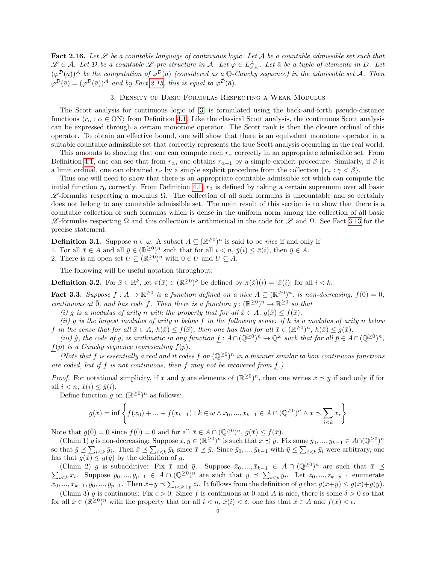<span id="page-5-1"></span>Fact 2.16. Let  $\mathscr L$  be a countable language of continuous logic. Let A be a countable admissible set such that  $\mathscr{L} \in \mathcal{A}$ . Let  $\mathcal D$  be a countable  $\mathscr{L}$ -pre-structure in  $\mathcal A$ . Let  $\varphi \in L^{\mathcal A}_{\omega,\omega}$ . Let  $\bar a$  be a tuple of elements in  $D$ . Let  $(\varphi^{\mathcal{D}}(\bar{a}))^{\mathcal{A}}$  be the computation of  $\varphi^{\mathcal{D}}(\bar{a})$  (considered as a Q-Cauchy sequence) in the admissible set A. Then  $\varphi^{\mathcal{D}}(\bar{a}) = (\varphi^{\mathcal{D}}(\bar{a}))^{\mathcal{A}}$  and by Fact [2.15,](#page-4-0) this is equal to  $\varphi^{\bar{\mathcal{D}}}(\bar{a})$ .

### 3. Density of Basic Formulas Respecting a Weak Modulus

The Scott analysis for continuous logic of [\[3\]](#page-10-0) is formulated using the back-and-forth pseudo-distance functions  $\langle r_{\alpha} : \alpha \in \mathbb{N} \rangle$  from Definition [4.1.](#page-9-0) Like the classical Scott analysis, the continuous Scott analysis can be expressed through a certain monotone operator. The Scott rank is then the closure ordinal of this operator. To obtain an effective bound, one will show that there is an equivalent monotone operator in a suitable countable admissible set that correctly represents the true Scott analysis occurring in the real world.

This amounts to showing that one can compute each  $r_\alpha$  correctly in an appropriate admissible set. From Definition [4.1,](#page-9-0) one can see that from  $r_{\alpha}$ , one obtains  $r_{\alpha+1}$  by a simple explicit procedure. Similarly, if  $\beta$  is a limit ordinal, one can obtained  $r_\beta$  by a simple explicit procedure from the collection  $\{r_\gamma : \gamma < \beta\}$ .

Thus one will need to show that there is an appropriate countable admissible set which can compute the initial function  $r_0$  correctly. From Definition [4.1,](#page-9-0)  $r_0$  is defined by taking a certain supremum over all basic  $\mathscr L$ -formulas respecting a modulus  $\Omega$ . The collection of all such formulas is uncountable and so certainly does not belong to any countable admissible set. The main result of this section is to show that there is a countable collection of such formulas which is dense in the uniform norm among the collection of all basic  $\mathscr L$ -formulas respecting Ω and this collection is arithmetical in the code for  $\mathscr L$  and Ω. See Fact [3.13](#page-9-1) for the precise statement.

**Definition 3.1.** Suppose  $n \in \omega$ . A subset  $A \subseteq (\mathbb{R}^{\geq 0})^n$  is said to be *nice* if and only if

1. For all  $\bar{x} \in A$  and all  $\bar{y} \in (\mathbb{R}^{\geq 0})^n$  such that for all  $i < n$ ,  $\bar{y}(i) \leq \bar{x}(i)$ , then  $\bar{y} \in A$ .

2. There is an open set  $U \subseteq (\mathbb{R}^{\geq 0})^n$  with  $\overline{0} \in U$  and  $U \subseteq A$ .

The following will be useful notation throughout:

**Definition 3.2.** For  $\bar{x} \in \mathbb{R}^k$ , let  $\pi(\bar{x}) \in (\mathbb{R}^{\geq 0})^k$  be defined by  $\pi(\bar{x})(i) = |\bar{x}(i)|$  for all  $i < k$ .

<span id="page-5-0"></span>**Fact 3.3.** Suppose  $f : A \to \mathbb{R}^{\geq 0}$  is a function defined on a nice  $A \subseteq (\mathbb{R}^{\geq 0})^n$ , is non-decreasing,  $f(\overline{0}) = 0$ , continuous at  $\bar{0}$ , and has code  $\hat{f}$ . Then there is a function  $g : (\mathbb{R}^{\geq 0})^n \to \mathbb{R}^{\geq 0}$  so that

(i) g is a modulus of arity n with the property that for all  $\bar{x} \in A$ ,  $g(\bar{x}) \leq f(\bar{x})$ .

(ii) g is the largest modulus of arity n below f in the following sense: if h is a modulus of arity n below f in the sense that for all  $\bar{x} \in A$ ,  $h(\bar{x}) \leq f(\bar{x})$ , then one has that for all  $\bar{x} \in (\mathbb{R}^{\geq 0})^n$ ,  $h(\bar{x}) \leq g(\bar{x})$ .

(iii)  $\hat{g}$ , the code of g, is arithmetic in any function  $f: A \cap (\mathbb{Q}^{\geq 0})^n \to \mathbb{Q}^\omega$  such that for all  $\bar{p} \in A \cap (\mathbb{Q}^{\geq 0})^n$ ,  $f(\bar{p})$  is a Cauchy sequence representing  $f(\bar{p})$ .

(Note that f is essentially a real and it codes f on  $(\mathbb{Q}^{\geq 0})^n$  in a manner similar to how continuous functions are coded, but if f is not continuous, then f may not be recovered from  $f$ .)

*Proof.* For notational simplicity, if  $\bar{x}$  and  $\bar{y}$  are elements of  $(\mathbb{R}^{\geq 0})^n$ , then one writes  $\bar{x} \preceq \bar{y}$  if and only if for all  $i < n$ ,  $\bar{x}(i) < \bar{y}(i)$ .

Define function g on  $(\mathbb{R}^{\geq 0})^n$  as follows:

$$
g(\bar{x}) = \inf \left\{ f(\bar{x}_0) + \dots + f(\bar{x}_{k-1}) : k \in \omega \wedge \bar{x}_0, ..., \bar{x}_{k-1} \in A \cap (\mathbb{Q}^{\geq 0})^n \wedge \bar{x} \preceq \sum_{i < k} \bar{x}_i \right\}
$$

Note that  $g(\overline{0}) = 0$  since  $f(\overline{0}) = 0$  and for all  $\overline{x} \in A \cap (\mathbb{Q}^{\geq 0})^n$ ,  $g(\overline{x}) \leq f(\overline{x})$ .

(Claim 1) g is non-decreasing: Suppose  $\bar{x}, \bar{y} \in (\mathbb{R}^{\geq 0})^n$  is such that  $\bar{x} \preceq \bar{y}$ . Fix some  $\bar{y}_0, ..., \bar{y}_{k-1} \in A \cap (\mathbb{Q}^{\geq 0})^n$ so that  $\bar{y} \preceq \sum_{i \leq k} \bar{y}_i$ . Then  $\bar{x} \preceq \sum_{i \leq k} \bar{y}_k$  since  $\bar{x} \preceq \bar{y}$ . Since  $\bar{y}_0, ..., \bar{y}_{k-1}$  with  $\bar{y} \leq \sum_{i \leq k} \bar{y}_i$  were arbitrary, one has that  $g(\bar{x}) \leq g(\bar{y})$  by the definition of g.

(Claim 2) g is subadditive: Fix  $\bar{x}$  and  $\bar{y}$ . Suppose  $\bar{x}_0, ..., \bar{x}_{k-1} \in A \cap (\mathbb{Q}^{\geq 0})^n$  are such that  $\bar{x} \preceq$  $\sum_{i\leq k}\bar{x}_i$ . Suppose  $\bar{y}_0, ..., \bar{y}_{p-1} \in A \cap (\mathbb{Q}^{\geq 0})^n$  are such that  $\bar{y} \preceq \sum_{i\leq p}\bar{y}_i$ . Let  $\bar{z}_0, ..., \bar{z}_{k+p-1}$  enumerate  $\bar{x}_0, ..., \bar{x}_{k-1}, \bar{y}_0, ..., \bar{y}_{p-1}$ . Then  $\bar{x} + \bar{y} \preceq \sum_{i \leq k+p} \bar{z}_i$ . It follows from the definition of g that  $g(\bar{x} + \bar{y}) \leq g(\bar{x}) + g(\bar{y})$ .

(Claim 3) g is continuous: Fix  $\epsilon > 0$ . Since f is continuous at  $\overline{0}$  and A is nice, there is some  $\delta > 0$  so that for all  $\bar{x} \in (\mathbb{R}^{\geq 0})^n$  with the property that for all  $i < n$ ,  $\bar{x}(i) < \delta$ , one has that  $\bar{x} \in A$  and  $f(\bar{x}) < \epsilon$ .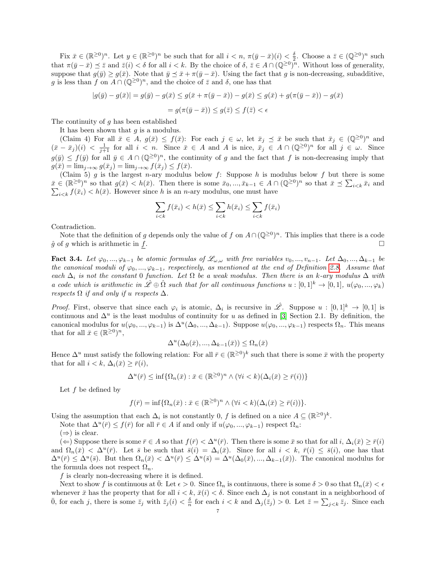Fix  $\bar{x} \in (\mathbb{R}^{\geq 0})^n$ . Let  $y \in (\mathbb{R}^{\geq 0})^n$  be such that for all  $i < n$ ,  $\pi(\bar{y} - \bar{x})(i) < \frac{\delta}{2}$ . Choose a  $\bar{z} \in (\mathbb{Q}^{\geq 0})^n$  such that  $\pi(\bar{y}-\bar{x}) \preceq \bar{z}$  and  $\bar{z}(i) < \delta$  for all  $i < k$ . By the choice of  $\delta, \bar{z} \in A \cap (\mathbb{Q}^{\geq 0})^n$ . Without loss of generality, suppose that  $g(\bar{y}) \geq g(\bar{x})$ . Note that  $\bar{y} \preceq \bar{x} + \pi(\bar{y} - \bar{x})$ . Using the fact that g is non-decreasing, subadditive, g is less than f on  $A \cap (\mathbb{Q}^{\geq 0})^n$ , and the choice of  $\overline{z}$  and  $\delta$ , one has that

$$
|g(\bar{y}) - g(\bar{x})| = g(\bar{y}) - g(\bar{x}) \le g(\bar{x} + \pi(\bar{y} - \bar{x})) - g(\bar{x}) \le g(\bar{x}) + g(\pi(\bar{y} - \bar{x})) - g(\bar{x})
$$

$$
= g(\pi(\bar{y} - \bar{x})) \le g(\bar{z}) \le f(\bar{z}) < \epsilon
$$

The continuity of  $g$  has been established

It has been shown that  $g$  is a modulus.

(Claim 4) For all  $\bar{x} \in A$ ,  $g(\bar{x}) \leq f(\bar{x})$ : For each  $j \in \omega$ , let  $\bar{x}_j \preceq \bar{x}$  be such that  $\bar{x}_j \in (\mathbb{Q}^{\geq 0})^n$  and  $(\bar{x}-\bar{x}_j)(i) < \frac{1}{j+1}$  for all  $i < n$ . Since  $\bar{x} \in A$  and A is nice,  $\bar{x}_j \in A \cap (\mathbb{Q}^{\geq 0})^n$  for all  $j \in \omega$ . Since  $g(\bar{y}) \leq f(\bar{y})$  for all  $\bar{y} \in A \cap (\mathbb{Q}^{\geq 0})^n$ , the continuity of g and the fact that f is non-decreasing imply that  $g(\bar{x}) = \lim_{j \to \infty} g(\bar{x}_j) = \lim_{j \to \infty} f(\bar{x}_j) \leq f(\bar{x}).$ 

(Claim 5) g is the largest n-ary modulus below f: Suppose h is modulus below f but there is some  $\bar{x} \in (\mathbb{R}^{\geq 0})^n$  so that  $g(\bar{x}) < h(\bar{x})$ . Then there is some  $\bar{x}_0, ..., \bar{x}_{k-1} \in A \cap (\mathbb{Q}^{\geq 0})^n$  so that  $\bar{x} \preceq \sum_{i \leq k} \bar{x}_i$  and  $\sum_{i \leq k} f(\bar{x}_i) < h(\bar{x})$ . However since h is an n-ary modulus, one must have

$$
\sum_{i < k} f(\bar{x}_i) < h(\bar{x}) \le \sum_{i < k} h(\bar{x}_i) \le \sum_{i < k} f(\bar{x}_i)
$$

Contradiction.

Note that the definition of g depends only the value of f on  $A \cap (\mathbb{Q}^{\geq 0})^n$ . This implies that there is a code  $\hat{g}$  of g which is arithmetic in f.

<span id="page-6-0"></span>Fact 3.4. Let  $\varphi_0, ..., \varphi_{k-1}$  be atomic formulas of  $\mathscr{L}_{\omega,\omega}$  with free variables  $v_0, ..., v_{n-1}$ . Let  $\Delta_0, ..., \Delta_{k-1}$  be the canonical moduli of  $\varphi_0, ..., \varphi_{k-1}$ , respectively, as mentioned at the end of Definition [2.8.](#page-3-1) Assume that each  $\Delta_i$  is not the constant 0 function. Let  $\Omega$  be a weak modulus. Then there is an k-ary modulus  $\Delta$  with a code which is arithmetic in  $\mathscr{L} \oplus \hat{\Omega}$  such that for all continuous functions  $u : [0,1]^k \to [0,1]$ ,  $u(\varphi_0, ..., \varphi_k)$ respects  $\Omega$  if and only if u respects  $\Delta$ .

*Proof.* First, observe that since each  $\varphi_i$  is atomic,  $\Delta_i$  is recursive in  $\hat{\mathscr{L}}$ . Suppose  $u : [0,1]^k \to [0,1]$  is continuous and  $\Delta^u$  is the least modulus of continuity for u as defined in [\[3\]](#page-10-0) Section 2.1. By definition, the canonical modulus for  $u(\varphi_0, ..., \varphi_{k-1})$  is  $\Delta^u(\Delta_0, ..., \Delta_{k-1})$ . Suppose  $u(\varphi_0, ..., \varphi_{k-1})$  respects  $\Omega_n$ . This means that for all  $\bar{x} \in (\mathbb{R}^{\geq 0})^n$ ,

$$
\Delta^u(\Delta_0(\bar{x}),...,\Delta_{k-1}(\bar{x})) \le \Omega_n(\bar{x})
$$

Hence  $\Delta^u$  must satisfy the following relation: For all  $\bar{r} \in (\mathbb{R}^{\geq 0})^k$  such that there is some  $\bar{x}$  with the property that for all  $i < k$ ,  $\Delta_i(\bar{x}) \geq \bar{r}(i)$ ,

$$
\Delta^{u}(\bar{r}) \leq \inf \{ \Omega_{n}(\bar{x}) : \bar{x} \in (\mathbb{R}^{\geq 0})^{n} \wedge (\forall i < k)(\Delta_{i}(\bar{x}) \geq \bar{r}(i)) \}
$$

Let  $f$  be defined by

$$
f(\bar{r}) = \inf \{ \Omega_n(\bar{x}) : \bar{x} \in (\mathbb{R}^{\geq 0})^n \wedge (\forall i < k)(\Delta_i(\bar{x}) \geq \bar{r}(i)) \}.
$$

Using the assumption that each  $\Delta_i$  is not constantly 0, f is defined on a nice  $A \subseteq (\mathbb{R}^{\geq 0})^k$ .

Note that  $\Delta^u(\bar{r}) \leq f(\bar{r})$  for all  $\bar{r} \in A$  if and only if  $u(\varphi_0, ..., \varphi_{k-1})$  respect  $\Omega_n$ :

 $(\Rightarrow)$  is clear.

(←) Suppose there is some  $\bar{r} \in A$  so that  $f(\bar{r}) < \Delta^u(\bar{r})$ . Then there is some  $\bar{x}$  so that for all  $i, \Delta_i(\bar{x}) \geq \bar{r}(i)$ and  $\Omega_n(\bar{x}) < \Delta^u(\bar{r})$ . Let  $\bar{s}$  be such that  $\bar{s}(i) = \Delta_i(\bar{x})$ . Since for all  $i < k$ ,  $\bar{r}(i) \leq \bar{s}(i)$ , one has that  $\Delta^u(\bar{r}) \leq \Delta^u(\bar{s})$ . But then  $\Omega_n(\bar{x}) < \Delta^u(\bar{r}) \leq \Delta^u(\bar{s}) = \Delta^u(\Delta_0(\bar{x}),...,\Delta_{k-1}(\bar{x}))$ . The canonical modulus for the formula does not respect  $\Omega_n$ .

f is clearly non-decreasing where it is defined.

Next to show f is continuous at  $\bar{0}:$  Let  $\epsilon > 0$ . Since  $\Omega_n$  is continuous, there is some  $\delta > 0$  so that  $\Omega_n(\bar{x}) < \epsilon$ whenever  $\bar{x}$  has the property that for all  $i < k$ ,  $\bar{x}(i) < \delta$ . Since each  $\Delta_j$  is not constant in a neighborhood of  $\overline{0}$ , for each j, there is some  $\overline{z}_j$  with  $\overline{z}_j(i) < \frac{\delta}{n}$  for each  $i < k$  and  $\Delta_j(\overline{z}_j) > 0$ . Let  $\overline{z} = \sum_{j < k} \overline{z}_j$ . Since each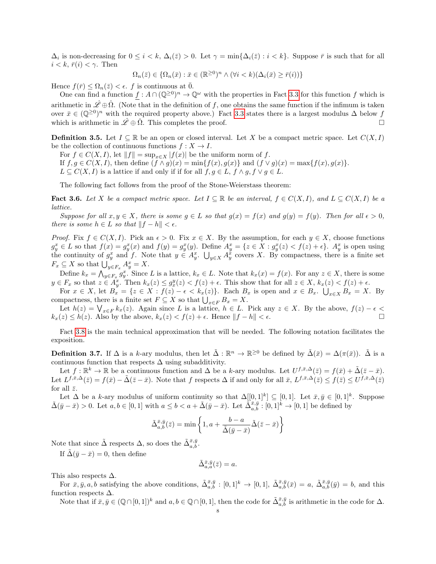$\Delta_i$  is non-decreasing for  $0 \leq i < k$ ,  $\Delta_i(\bar{z}) > 0$ . Let  $\gamma = \min{\{\Delta_i(\bar{z}) : i < k\}}$ . Suppose  $\bar{r}$  is such that for all  $i < k, \bar{r}(i) < \gamma$ . Then

$$
\Omega_n(\bar{z}) \in \{ \Omega_n(\bar{x}) : \bar{x} \in (\mathbb{R}^{\geq 0})^n \wedge (\forall i < k)(\Delta_i(\bar{x}) \geq \bar{r}(i)) \}
$$

Hence  $f(\bar{r}) \leq \Omega_n(\bar{z}) < \epsilon$ . f is continuous at  $\bar{0}$ .

One can find a function  $f : A \cap (\mathbb{Q}^{\geq 0})^n \to \mathbb{Q}^\omega$  with the properties in Fact [3.3](#page-5-0) for this function f which is arithmetic in  $\mathscr{L}\oplus\hat{\Omega}$ . (Note that in the definition of f, one obtains the same function if the infimum is taken over  $\bar{x} \in (\mathbb{Q}^{\geq 0})^n$  with the required property above.) Fact [3.3](#page-5-0) states there is a largest modulus  $\Delta$  below f which is arithmetic in  $\mathscr{L} \oplus \hat{\Omega}$ . This completes the proof.

**Definition 3.5.** Let  $I \subseteq \mathbb{R}$  be an open or closed interval. Let X be a compact metric space. Let  $C(X, I)$ be the collection of continuous functions  $f: X \to I$ .

For  $f \in C(X, I)$ , let  $||f|| = \sup_{x \in X} |f(x)|$  be the uniform norm of f.

If  $f, g \in C(X, I)$ , then define  $(f \wedge g)(x) = \min\{f(x), g(x)\}\$ and  $(f \vee g)(x) = \max\{f(x), g(x)\}\$ .

 $L \subseteq C(X, I)$  is a lattice if and only if if for all  $f, g \in L$ ,  $f \wedge g, f \vee g \in L$ .

The following fact follows from the proof of the Stone-Weierstass theorem:

<span id="page-7-1"></span>Fact 3.6. Let X be a compact metric space. Let  $I \subseteq \mathbb{R}$  be an interval,  $f \in C(X, I)$ , and  $L \subseteq C(X, I)$  be a lattice.

Suppose for all  $x, y \in X$ , there is some  $g \in L$  so that  $g(x) = f(x)$  and  $g(y) = f(y)$ . Then for all  $\epsilon > 0$ , there is some  $h \in L$  so that  $||f - h|| < \epsilon$ .

*Proof.* Fix  $f \in C(X, I)$ . Pick an  $\epsilon > 0$ . Fix  $x \in X$ . By the assumption, for each  $y \in X$ , choose functions  $g_y^x \in L$  so that  $f(x) = g_y^x(x)$  and  $f(y) = g_y^x(y)$ . Define  $A_y^x = \{z \in X : g_y^x(z) < f(z) + \epsilon\}$ .  $A_y^x$  is open using the continuity of  $g_y^x$  and f. Note that  $y \in A_y^x$ .  $\bigcup_{y \in X} A_y^x$  covers X. By compactness, there is a finite set  $F_x \subseteq X$  so that  $\bigcup_{y \in F_x} A_y^x = X$ .

Define  $k_x = \bigwedge_{y \in F_x} g_y^x$ . Since L is a lattice,  $k_x \in L$ . Note that  $k_x(x) = f(x)$ . For any  $z \in X$ , there is some  $y \in F_x$  so that  $z \in A_y^x$ . Then  $k_x(z) \leq g_x^y(z) < f(z) + \epsilon$ . This show that for all  $z \in X$ ,  $k_x(z) < f(z) + \epsilon$ .

For  $x \in X$ , let  $B_x = \{z \in X : f(z) - \epsilon < k_x(z)\}$ . Each  $B_x$  is open and  $x \in B_x$ .  $\bigcup_{x \in X} B_x = X$ . By compactness, there is a finite set  $F \subseteq X$  so that  $\bigcup_{x \in F} B_x = X$ .

Let  $h(z) = \bigvee_{x \in F} k_x(z)$ . Again since L is a lattice,  $h \in L$ . Pick any  $z \in X$ . By the above,  $f(z) - \epsilon$  $k_x(z) \leq h(z)$ . Also by the above,  $k_x(z) < f(z) + \epsilon$ . Hence  $||f - h|| < \epsilon$ .

Fact [3.8](#page-8-0) is the main technical approximation that will be needed. The following notation facilitates the exposition.

<span id="page-7-0"></span>**Definition 3.7.** If  $\Delta$  is a k-ary modulus, then let  $\tilde{\Delta}: \mathbb{R}^n \to \mathbb{R}^{\geq 0}$  be defined by  $\tilde{\Delta}(\bar{x}) = \Delta(\pi(\bar{x}))$ .  $\tilde{\Delta}$  is a continuous function that respects  $\Delta$  using subadditivity.

Let  $f: \mathbb{R}^k \to \mathbb{R}$  be a continuous function and  $\Delta$  be a k-ary modulus. Let  $U^{f, \bar{x}, \Delta}(\bar{z}) = f(\bar{x}) + \tilde{\Delta}(\bar{z} - \bar{x})$ . Let  $L^{f,\bar{x},\Delta}(\bar{z}) = f(\bar{x}) - \tilde{\Delta}(\bar{z}-\bar{x})$ . Note that f respects  $\Delta$  if and only for all  $\bar{x}, L^{f,\bar{x},\Delta}(\bar{z}) \leq f(\bar{z}) \leq U^{f,\bar{x},\Delta}(\bar{z})$ for all  $\bar{z}$ .

Let  $\Delta$  be a k-ary modulus of uniform continuity so that  $\Delta[[0,1]^k] \subseteq [0,1]$ . Let  $\bar{x}, \bar{y} \in [0,1]^k$ . Suppose  $\tilde{\Delta}(\bar{y}-\bar{x})>0$ . Let  $a, b \in [0,1]$  with  $a \leq b < a + \tilde{\Delta}(\bar{y}-\bar{x})$ . Let  $\tilde{\Delta}_{a,b}^{\bar{x},\bar{y}} : [0,1]^k \to [0,1]$  be defined by

$$
\tilde{\Delta}_{a,b}^{\bar{x},\bar{y}}(\bar{z}) = \min \left\{ 1, a + \frac{b-a}{\tilde{\Delta}(\bar{y}-\bar{x})} \tilde{\Delta}(\bar{z}-\bar{x}) \right\}
$$

Note that since  $\tilde{\Delta}$  respects  $\Delta$ , so does the  $\tilde{\Delta}_{a,b}^{\bar{x},\bar{y}}$ .

If  $\tilde{\Delta}(\bar{y}-\bar{x})=0$ , then define

$$
\tilde{\Delta}_{a,a}^{\bar{x},\bar{y}}(\bar{z}) = a.
$$

This also respects  $\Delta$ .

For  $\bar{x}, \bar{y}, a, b$  satisfying the above conditions,  $\tilde{\Delta}_{a,b}^{\bar{x}, \bar{y}} : [0,1]^k \to [0,1], \tilde{\Delta}_{a,b}^{\bar{x}, \bar{y}}(\bar{x}) = a, \tilde{\Delta}_{a,b}^{\bar{x}, \bar{y}}(\bar{y}) = b$ , and this function respects  $\Delta$ .

Note that if  $\bar{x}, \bar{y} \in (\mathbb{Q} \cap [0,1])^k$  and  $a, b \in \mathbb{Q} \cap [0,1]$ , then the code for  $\tilde{\Delta}_{a,b}^{\bar{x}, \bar{y}}$  is arithmetic in the code for  $\Delta$ .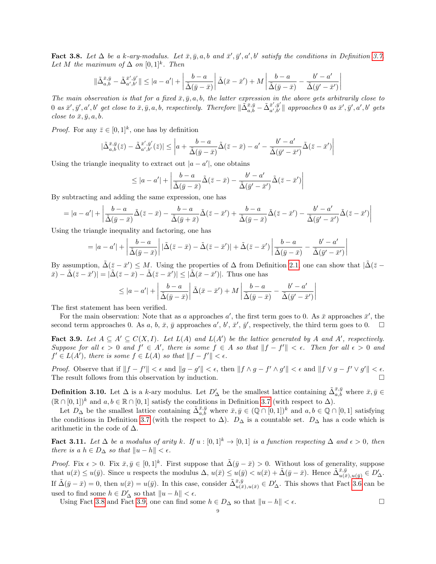<span id="page-8-0"></span>Fact 3.8. Let  $\Delta$  be a k-ary-modulus. Let  $\bar{x}, \bar{y}, a, b$  and  $\bar{x}', \bar{y}', a', b'$  satisfy the conditions in Definition [3.7.](#page-7-0) Let M the maximum of  $\Delta$  on  $[0,1]^k$ . Then

$$
\|\tilde{\Delta}_{a,b}^{\bar{x},\bar{y}} - \tilde{\Delta}_{a',b'}^{\bar{x}',\bar{y}'}\| \le |a - a'| + \left|\frac{b - a}{\tilde{\Delta}(\bar{y} - \bar{x})}\right| \tilde{\Delta}(\bar{x} - \bar{x}') + M \left|\frac{b - a}{\tilde{\Delta}(\bar{y} - \bar{x})} - \frac{b' - a'}{\tilde{\Delta}(\bar{y}' - \bar{x}')}\right|
$$

The main observation is that for a fixed  $\bar{x}, \bar{y}, a, b$ , the latter expression in the above gets arbitrarily close to  $0$  as  $\bar{x}', \bar{y}', a', b'$  get close to  $\bar{x}, \bar{y}, a, b$ , respectively. Therefore  $\Vert \tilde{\Delta}^{\bar{x}, \bar{y}}_{a, b} - \tilde{\Delta}^{\bar{x}', \bar{y}'}_{a', b'} \Vert$  $\left\{ \begin{array}{l} \bar{x}^{\prime},\bar{y}^{\prime}\parallel\emph{approaches} \text{0 as} \ \bar{x}^{\prime},\bar{y}^{\prime},a^{\prime},b^{\prime}\emph{gets} \end{array} \right.$ close to  $\bar{x}, \bar{y}, a, b$ .

*Proof.* For any  $\bar{z} \in [0,1]^k$ , one has by definition

$$
|\tilde{\Delta}_{a,b}^{\bar{x},\bar{y}}(\bar{z})-\tilde{\Delta}_{a',b'}^{\bar{x}',\bar{y}'}(\bar{z})|\leq \left|a+\frac{b-a}{\tilde{\Delta}(\bar{y}-\bar{x})}\tilde{\Delta}(\bar{z}-\bar{x})-a'-\frac{b'-a'}{\tilde{\Delta}(\bar{y}'-\bar{x}')} \tilde{\Delta}(\bar{z}-\bar{x}')\right|
$$

Using the triangle inequality to extract out  $|a - a'|$ , one obtains

$$
\leq |a - a'| + \left| \frac{b - a}{\tilde{\Delta}(\bar{y} - \bar{x})} \tilde{\Delta}(\bar{z} - \bar{x}) - \frac{b' - a'}{\tilde{\Delta}(\bar{y}' - \bar{x}')} \tilde{\Delta}(\bar{z} - \bar{x}') \right|
$$

By subtracting and adding the same expression, one has

$$
=|a-a'|+\left|\frac{b-a}{\tilde{\Delta}(\bar{y}-\bar{x})}\tilde{\Delta}(\bar{z}-\bar{x})-\frac{b-a}{\tilde{\Delta}(\bar{y}+\bar{x})}\tilde{\Delta}(\bar{z}-\bar{x}')+\frac{b-a}{\tilde{\Delta}(\bar{y}-\bar{x})}\tilde{\Delta}(\bar{z}-\bar{x}')-\frac{b'-a'}{\tilde{\Delta}(\bar{y}'-\bar{x}')} \tilde{\Delta}(\bar{z}-\bar{x}')\right|
$$

Using the triangle inequality and factoring, one has

$$
=|a-a'|+\left|\frac{b-a}{\tilde{\Delta}(\bar{y}-\bar{x})}\right||\tilde{\Delta}(\bar{z}-\bar{x})-\tilde{\Delta}(\bar{z}-\bar{x}')|+\tilde{\Delta}(\bar{z}-\bar{x}')\left|\frac{b-a}{\tilde{\Delta}(\bar{y}-\bar{x})}-\frac{b'-a'}{\tilde{\Delta}(\bar{y}'-\bar{x}')}\right|
$$

By assumption,  $\tilde{\Delta}(\bar{z}-\bar{x}') \leq M$ . Using the properties of  $\Delta$  from Definition [2.1,](#page-2-0) one can show that  $|\tilde{\Delta}(\bar{z}-\bar{x}')|$  $|\bar{x} - \tilde{\Delta}(\bar{z} - \bar{x}')| = |\tilde{\Delta}(\bar{z} - \bar{x}) - \tilde{\Delta}(\bar{z} - \bar{x}')| \leq |\tilde{\Delta}(\bar{x} - \bar{x}')|$ . Thus one has

$$
\leq |a - a'| + \left| \frac{b - a}{\tilde{\Delta}(\bar{y} - \bar{x})} \right| \tilde{\Delta}(\bar{x} - \bar{x}') + M \left| \frac{b - a}{\tilde{\Delta}(\bar{y} - \bar{x})} - \frac{b' - a'}{\tilde{\Delta}(\bar{y}' - \bar{x}')} \right|
$$

The first statement has been verified.

For the main observation: Note that as a approaches a', the first term goes to 0. As  $\bar{x}$  approaches  $\bar{x}'$ , the second term approaches 0. As a, b,  $\bar{x}$ ,  $\bar{y}$  approaches a', b',  $\bar{x}'$ ,  $\bar{y}'$ , respectively, the third term goes to 0.

<span id="page-8-1"></span>Fact 3.9. Let  $A \subseteq A' \subseteq C(X, I)$ . Let  $L(A)$  and  $L(A')$  be the lattice generated by A and A', respectively. Suppose for all  $\epsilon > 0$  and  $f' \in A'$ , there is some  $f \in A$  so that  $||f - f'|| < \epsilon$ . Then for all  $\epsilon > 0$  and  $f' \in L(A')$ , there is some  $f \in L(A)$  so that  $||f - f'|| < \epsilon$ .

Proof. Observe that if  $||f - f'|| < \epsilon$  and  $||g - g'|| < \epsilon$ , then  $||f \wedge g - f' \wedge g'|| < \epsilon$  and  $||f \vee g - f' \vee g'|| < \epsilon$ . The result follows from this observation by induction.

**Definition 3.10.** Let  $\Delta$  is a k-ary modulus. Let  $D'_\Delta$  be the smallest lattice containing  $\tilde{\Delta}_{a,b}^{\bar{x},\bar{y}}$  where  $\bar{x},\bar{y} \in$  $(\mathbb{R} \cap [0,1])^k$  and  $a, b \in \mathbb{R} \cap [0,1]$  satisfy the conditions in Definition [3.7](#page-7-0) (with respect to  $\Delta$ ).

Let  $D_{\Delta}$  be the smallest lattice containing  $\tilde{\Delta}_{a,b}^{\bar{x},\bar{y}}$  where  $\bar{x}, \bar{y} \in (\mathbb{Q} \cap [0,1])^k$  and  $a, b \in \mathbb{Q} \cap [0,1]$  satisfying the conditions in Definition [3.7](#page-7-0) (with the respect to  $\Delta$ ).  $D_{\Delta}$  is a countable set.  $D_{\Delta}$  has a code which is arithmetic in the code of  $\Delta$ .

Fact 3.11. Let  $\Delta$  be a modulus of arity k. If  $u : [0,1]^k \to [0,1]$  is a function respecting  $\Delta$  and  $\epsilon > 0$ , then there is a  $h \in D_{\Delta}$  so that  $||u - h|| < \epsilon$ .

*Proof.* Fix  $\epsilon > 0$ . Fix  $\bar{x}, \bar{y} \in [0, 1]^k$ . First suppose that  $\tilde{\Delta}(\bar{y} - \bar{x}) > 0$ . Without loss of generality, suppose that  $u(\bar{x}) \leq u(\bar{y})$ . Since u respects the modulus  $\Delta, u(\bar{x}) \leq u(\bar{y}) < u(\bar{x}) + \tilde{\Delta}(\bar{y} - \bar{x})$ . Hence  $\tilde{\Delta}_{u(\bar{x}), u(\bar{y})}^{\bar{x}, \bar{y}} \in D'_{\Delta}$ . If  $\tilde{\Delta}(\bar{y}-\bar{x})=0$ , then  $u(\bar{x})=u(\bar{y})$ . In this case, consider  $\tilde{\Delta}_{u(\bar{x}),u(\bar{x})}^{\bar{x},\bar{y}} \in D'_{\Delta}$ . This shows that Fact [3.6](#page-7-1) can be used to find some  $h \in D'_{\Delta}$  so that  $||u - h|| < \epsilon$ .

Using Fact [3.8](#page-8-0) and Fact [3.9,](#page-8-1) one can find some  $h \in D_{\Delta}$  so that  $||u - h|| < \epsilon$ .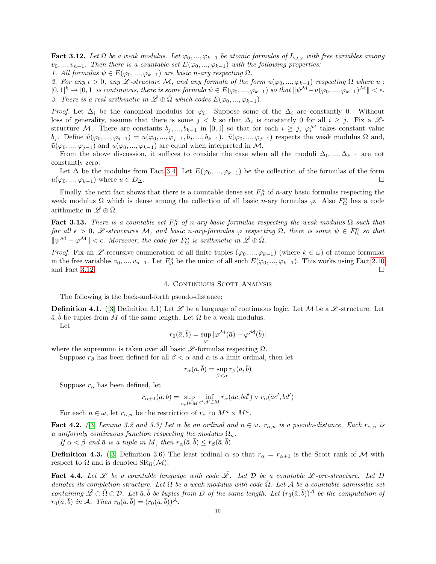<span id="page-9-2"></span>**Fact 3.12.** Let  $\Omega$  be a weak modulus. Let  $\varphi_0, ..., \varphi_{k-1}$  be atomic formulas of  $L_{\omega,\omega}$  with free variables among  $v_0, ..., v_{n-1}$ . Then there is a countable set  $E(\varphi_0, ..., \varphi_{k-1})$  with the following properties:

1. All formulas  $\psi \in E(\varphi_0, ..., \varphi_{k-1})$  are basic n-ary respecting  $\Omega$ .

2. For any  $\epsilon > 0$ , any L-structure M, and any formula of the form  $u(\varphi_0, ..., \varphi_{k-1})$  respecting  $\Omega$  where  $u$ :  $[0,1]^k \to [0,1]$  is continuous, there is some formula  $\psi \in E(\varphi_0, ..., \varphi_{k-1})$  so that  $\|\psi^{\mathcal{M}}-\mathfrak{u}(\varphi_0, ..., \varphi_{k-1})^{\mathcal{M}}\| < \epsilon$ . 3. There is a real arithmetic in  $\hat{\mathscr{L}} \oplus \hat{\Omega}$  which codes  $E(\varphi_0, ..., \varphi_{k-1})$ .

*Proof.* Let  $\Delta_i$  be the canonical modulus for  $\varphi_i$ . Suppose some of the  $\Delta_i$  are constantly 0. Without loss of generality, assume that there is some  $j < k$  so that  $\Delta_i$  is constantly 0 for all  $i \geq j$ . Fix a  $\mathscr{L}$ structure M. There are constants  $b_j, ..., b_{k-1}$  in [0,1] so that for each  $i \geq j$ ,  $\varphi_i^{\mathcal{M}}$  takes constant value bj. Define  $\tilde{u}(\varphi_0, ..., \varphi_{j-1}) = u(\varphi_0, ..., \varphi_{j-1}, b_j, ..., b_{k-1})$ .  $\tilde{u}(\varphi_0, ..., \varphi_{j-1})$  respects the weak modulus  $\Omega$  and,  $\tilde{u}(\varphi_0, ..., \varphi_{i-1})$  and  $u(\varphi_0, ..., \varphi_{k-1})$  are equal when interpreted in M.

From the above discussion, it suffices to consider the case when all the moduli  $\Delta_0, ..., \Delta_{k-1}$  are not constantly zero.

Let  $\Delta$  be the modulus from Fact [3.4.](#page-6-0) Let  $E(\varphi_0, ..., \varphi_{k-1})$  be the collection of the formulas of the form  $u(\varphi_0, ..., \varphi_{k-1})$  where  $u \in D_{\Delta}$ .

Finally, the next fact shows that there is a countable dense set  $F_{\Omega}^n$  of *n*-ary basic formulas respecting the weak modulus  $\Omega$  which is dense among the collection of all basic n-ary formulas  $\varphi$ . Also  $F_{\Omega}^{n}$  has a code arithmetic in  $\mathscr{L} \oplus \Omega$ .

<span id="page-9-1"></span>**Fact 3.13.** There is a countable set  $F_{\Omega}^{n}$  of n-ary basic formulas respecting the weak modulus  $\Omega$  such that for all  $\epsilon > 0$ , L-structures M, and basic n-ary-formulas  $\varphi$  respecting  $\Omega$ , there is some  $\psi \in F_{\Omega}^n$  so that  $\|\psi^{\mathcal{M}} - \varphi^{\mathcal{M}}\| < \epsilon$ . Moreover, the code for  $F_{\Omega}^{n}$  is arithmetic in  $\hat{\mathcal{L}} \oplus \hat{\Omega}$ .

*Proof.* Fix an L -recursive enumeration of all finite tuples  $(\varphi_0, ..., \varphi_{k-1})$  (where  $k \in \omega$ ) of atomic formulas in the free variables  $v_0, ..., v_{n-1}$ . Let  $F^n_{\Omega}$  be the union of all such  $E(\varphi_0, ..., \varphi_{k-1})$ . This works using Fact [2.10](#page-3-2) and Fact [3.12.](#page-9-2)  $\Box$ 

# 4. CONTINUOUS SCOTT ANALYSIS

The following is the back-and-forth pseudo-distance:

<span id="page-9-0"></span>**Definition 4.1.** ([\[3\]](#page-10-0) Definition 3.1) Let  $\mathscr L$  be a language of continuous logic. Let M be a  $\mathscr L$ -structure. Let  $\bar{a}, \bar{b}$  be tuples from M of the same length. Let  $\Omega$  be a weak modulus. Let

$$
r_0(\bar{a}, \bar{b}) = \sup_{\varphi} |\varphi^{\mathcal{M}}(\bar{a}) - \varphi^{\mathcal{M}}(\bar{b})|
$$

where the supremum is taken over all basic  $\mathscr{L}$ -formulas respecting  $\Omega$ .

Suppose  $r_\beta$  has been defined for all  $\beta < \alpha$  and  $\alpha$  is a limit ordinal, then let

$$
r_{\alpha}(\bar{a}, \bar{b}) = \sup_{\beta < \alpha} r_{\beta}(\bar{a}, \bar{b})
$$

Suppose  $r_{\alpha}$  has been defined, let

$$
r_{\alpha+1}(\bar{a},\bar{b})=\sup_{c,d\in M}\inf_{c',d'\in M}r_{\alpha}(\bar{a}c,\bar{b}d')\vee r_{\alpha}(\bar{a}c',\bar{b}d')
$$

For each  $n \in \omega$ , let  $r_{\alpha,n}$  be the restriction of  $r_{\alpha}$  to  $M^n \times M^n$ .

<span id="page-9-4"></span>**Fact 4.2.** ([\[3\]](#page-10-0) Lemma 3.2 and 3.3) Let  $\alpha$  be an ordinal and  $n \in \omega$ .  $r_{\alpha,n}$  is a pseudo-distance. Each  $r_{\alpha,n}$  is a uniformly continuous function respecting the modulus  $\Omega_n$ .

If  $\alpha < \beta$  and  $\bar{a}$  is a tuple in M, then  $r_{\alpha}(\bar{a}, \bar{b}) \leq r_{\beta}(\bar{a}, \bar{b})$ .

**Definition 4.3.** ([\[3\]](#page-10-0) Definition 3.6) The least ordinal  $\alpha$  so that  $r_{\alpha} = r_{\alpha+1}$  is the Scott rank of M with respect to  $\Omega$  and is denoted  $\text{SR}_{\Omega}(\mathcal{M})$ .

<span id="page-9-3"></span>**Fact 4.4.** Let  $\mathscr L$  be a countable language with code  $\mathscr L$ . Let  $\mathcal D$  be a countable  $\mathscr L$ -pre-structure. Let  $\bar{\mathcal D}$ denotes its completion structure. Let  $\Omega$  be a weak modulus with code  $\Omega$ . Let A be a countable admissible set containing  $\hat{\mathscr{L}} \oplus \hat{\Omega} \oplus \mathcal{D}$ . Let  $\bar{a}, \bar{b}$  be tuples from D of the same length. Let  $(r_0(\bar{a}, \bar{b}))^{\mathcal{A}}$  be the computation of  $r_0(\bar{a}, \bar{b})$  in A. Then  $r_0(\bar{a}, \bar{b}) = (r_0(\bar{a}, \bar{b}))^{\mathcal{A}}$ .